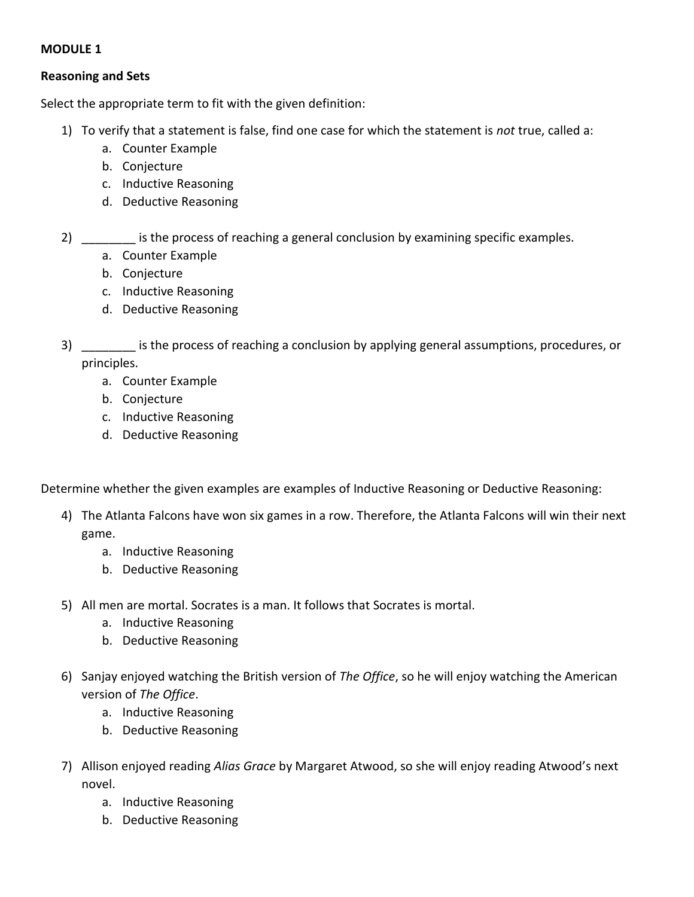## **MODULE 1**

## **Reasoning and Sets**

Select the appropriate term to fit with the given definition:

- 1) To verify that a statement is false, find one case for which the statement is *not* true, called a:
	- a. Counter Example
	- b. Conjecture
	- c. Inductive Reasoning
	- d. Deductive Reasoning
- 2) is the process of reaching a general conclusion by examining specific examples.
	- a. Counter Example
	- b. Conjecture
	- c. Inductive Reasoning
	- d. Deductive Reasoning
- 3) \_\_\_\_\_\_\_\_ is the process of reaching a conclusion by applying general assumptions, procedures, or principles.
	- a. Counter Example
	- b. Conjecture
	- c. Inductive Reasoning
	- d. Deductive Reasoning

Determine whether the given examples are examples of Inductive Reasoning or Deductive Reasoning:

- 4) The Atlanta Falcons have won six games in a row. Therefore, the Atlanta Falcons will win their next game.
	- a. Inductive Reasoning
	- b. Deductive Reasoning
- 5) All men are mortal. Socrates is a man. It follows that Socrates is mortal.
	- a. Inductive Reasoning
	- b. Deductive Reasoning
- 6) Sanjay enjoyed watching the British version of *The Office*, so he will enjoy watching the American version of *The Office*.
	- a. Inductive Reasoning
	- b. Deductive Reasoning
- 7) Allison enjoyed reading *Alias Grace* by Margaret Atwood, so she will enjoy reading Atwood's next novel.
	- a. Inductive Reasoning
	- b. Deductive Reasoning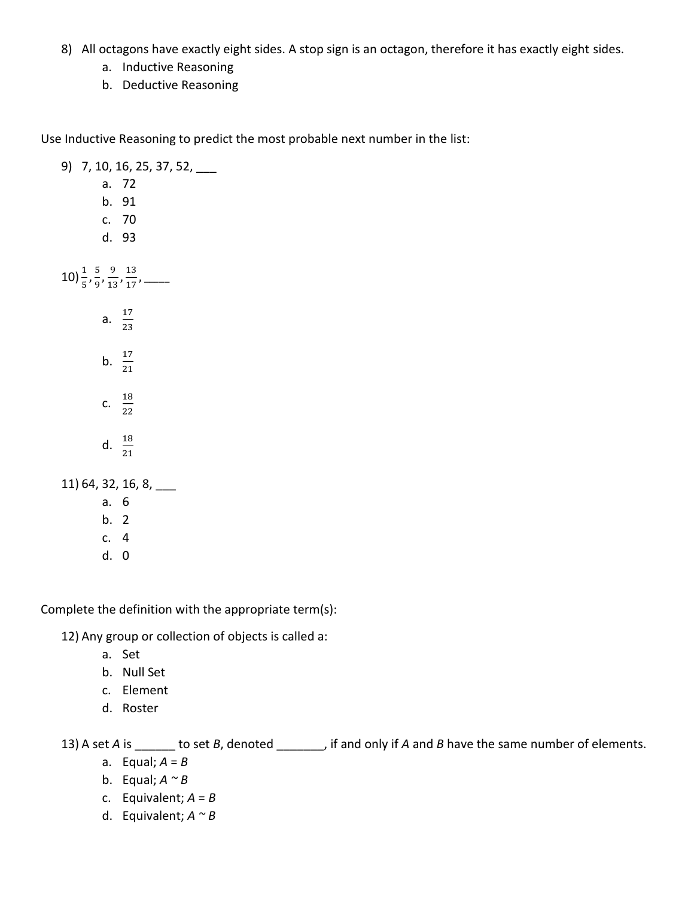- 8) All octagons have exactly eight sides. A stop sign is an octagon, therefore it has exactly eight sides.
	- a. Inductive Reasoning
	- b. Deductive Reasoning

Use Inductive Reasoning to predict the most probable next number in the list:

| 9) 7, 10, 16, 25, 37, 52, __                                                 |                        |
|------------------------------------------------------------------------------|------------------------|
|                                                                              | a. 72                  |
|                                                                              | b. 91                  |
|                                                                              | c. 70                  |
|                                                                              | d. 93                  |
|                                                                              |                        |
| 10) $\frac{1}{5}$ , $\frac{5}{9}$ , $\frac{9}{13}$ , $\frac{13}{17}$ , _____ |                        |
|                                                                              | a. $\frac{17}{23}$     |
|                                                                              | b. $\frac{17}{21}$     |
|                                                                              | C. $\frac{18}{22}$     |
|                                                                              | d. $\frac{18}{21}$     |
|                                                                              | 11) 64, 32, 16, 8, ___ |
| a. 6                                                                         |                        |
| b. 2                                                                         |                        |
| c. 4                                                                         |                        |
| d. 0                                                                         |                        |

Complete the definition with the appropriate term(s):

12) Any group or collection of objects is called a:

- a. Set
- b. Null Set
- c. Element
- d. Roster

13) A set *A* is \_\_\_\_\_\_ to set *B*, denoted \_\_\_\_\_\_, if and only if *A* and *B* have the same number of elements.

- a. Equal; *A* = *B*
- b. Equal;  $A \sim B$
- c. Equivalent;  $A = B$
- d. Equivalent; *A ~ B*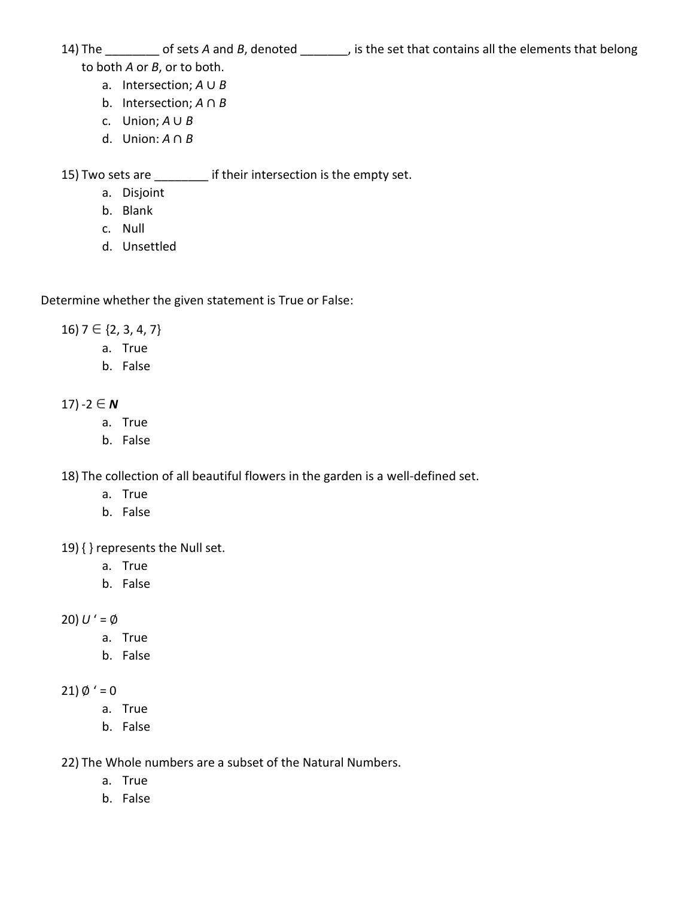- 14) The \_\_\_\_\_\_\_\_ of sets *A* and *B*, denoted \_\_\_\_\_\_\_, is the set that contains all the elements that belong to both *A* or *B*, or to both.
	-
	- a. Intersection; *A* ∪ *B*
		- b. Intersection; *A* ∩ *B*
		- c. Union; *A* ∪ *B*
		- d. Union: *A* ∩ *B*

15) Two sets are \_\_\_\_\_\_\_\_ if their intersection is the empty set.

- a. Disjoint
- b. Blank
- c. Null
- d. Unsettled

Determine whether the given statement is True or False:

 $16$ )  $7 \in \{2, 3, 4, 7\}$ 

- a. True
- b. False

17) -2 ∈ **N** 

- a. True
- b. False

18) The collection of all beautiful flowers in the garden is a well-defined set.

- a. True
- b. False

19) { } represents the Null set.

- a. True
- b. False

20)  $U' = \emptyset$ 

- a. True
- b. False

21)  $\emptyset' = 0$ 

- a. True
- b. False

22) The Whole numbers are a subset of the Natural Numbers.

- a. True
- b. False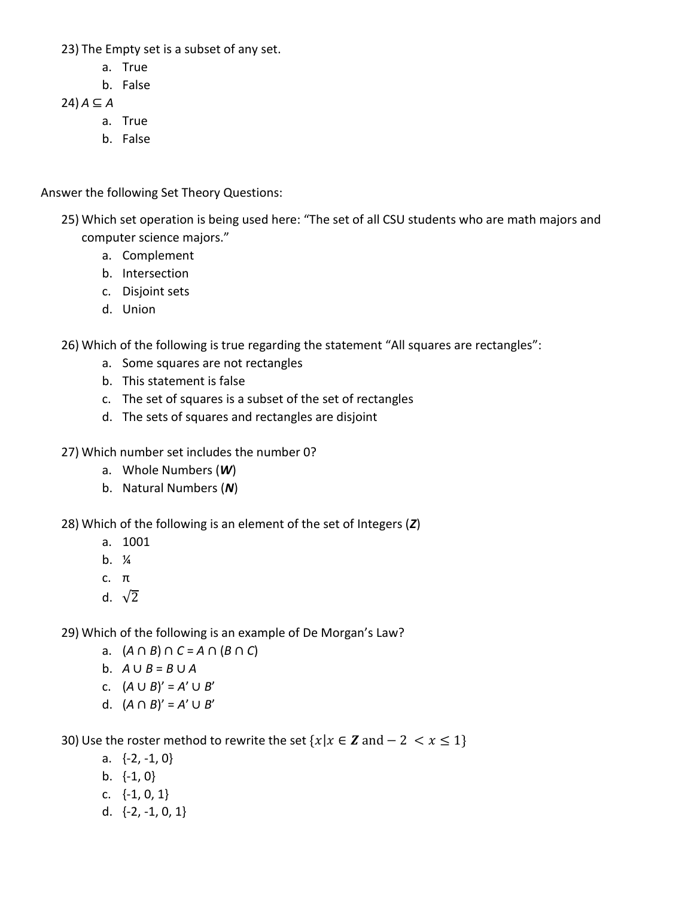- 23) The Empty set is a subset of any set.
	- a. True
	- b. False

24) *A* ⊆ *A*

- a. True
- b. False

Answer the following Set Theory Questions:

- 25) Which set operation is being used here: "The set of all CSU students who are math majors and computer science majors."
	- a. Complement
	- b. Intersection
	- c. Disjoint sets
	- d. Union

26) Which of the following is true regarding the statement "All squares are rectangles":

- a. Some squares are not rectangles
- b. This statement is false
- c. The set of squares is a subset of the set of rectangles
- d. The sets of squares and rectangles are disjoint
- 27) Which number set includes the number 0?
	- a. Whole Numbers (*W*)
	- b. Natural Numbers (*N*)

28) Which of the following is an element of the set of Integers (*Z*)

- a. 1001
- $h.$  %
- c. π
- d.  $\sqrt{2}$

29) Which of the following is an example of De Morgan's Law?

- a. (*A* ∩ *B*) ∩ *C* = *A* ∩ (*B* ∩ *C*)
- b. *A* ∪ *B* = *B* ∪ *A*
- c.  $(A ∪ B)' = A' ∪ B'$
- d.  $(A ∩ B)' = A' ∪ B'$

30) Use the roster method to rewrite the set  $\{x | x \in \mathbb{Z} \text{ and } -2 < x \leq 1\}$ 

- a.  $\{-2, -1, 0\}$
- b. {-1, 0}
- c.  $\{-1, 0, 1\}$
- d. {-2, -1, 0, 1}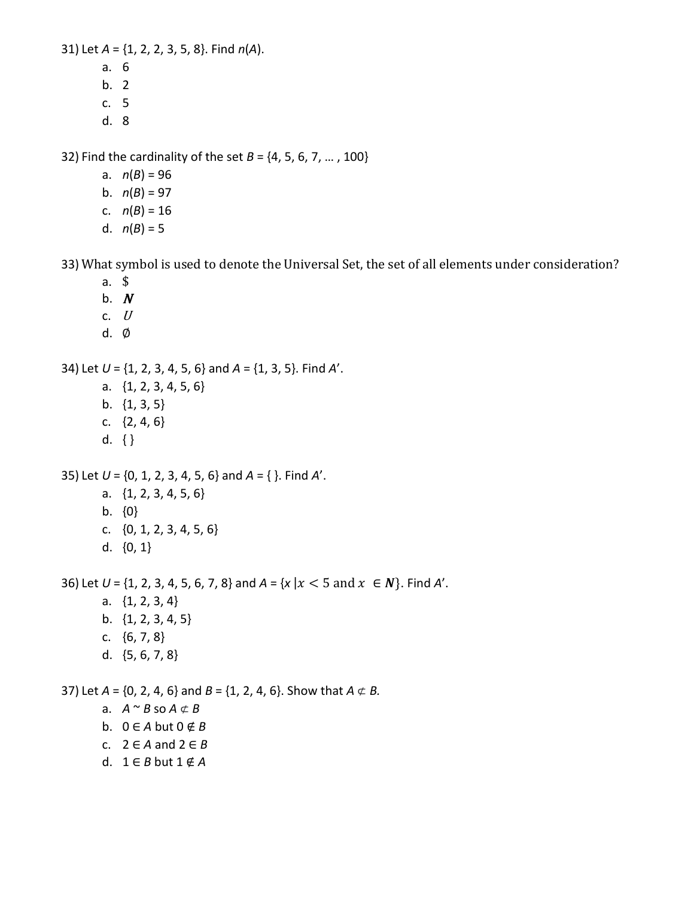31) Let *A* = {1, 2, 2, 3, 5, 8}. Find *n*(*A*).

- a. 6
- b. 2
- c. 5
- d. 8

32) Find the cardinality of the set *B* = {4, 5, 6, 7, … , 100}

- a.  $n(B) = 96$
- b.  $n(B) = 97$
- c.  $n(B) = 16$
- d.  $n(B) = 5$

33) What symbol is used to denote the Universal Set, the set of all elements under consideration?

- a. \$
- b.  $N$
- c.  $U$
- d. ∅

34) Let *U* = {1, 2, 3, 4, 5, 6} and *A* = {1, 3, 5}. Find *A*'.

- a. {1, 2, 3, 4, 5, 6}
- b. {1, 3, 5}
- c. {2, 4, 6}
- d. { }

35) Let *U* = {0, 1, 2, 3, 4, 5, 6} and *A* = { }. Find *A*'.

- a. {1, 2, 3, 4, 5, 6} b. {0}
- c. {0, 1, 2, 3, 4, 5, 6}
- d. {0, 1}

36) Let  $U = \{1, 2, 3, 4, 5, 6, 7, 8\}$  and  $A = \{x \mid x < 5 \text{ and } x \in N\}$ . Find A'.

- a. {1, 2, 3, 4} b. {1, 2, 3, 4, 5}
- c.  $\{6, 7, 8\}$
- d. {5, 6, 7, 8}

37) Let  $A = \{0, 2, 4, 6\}$  and  $B = \{1, 2, 4, 6\}$ . Show that  $A \not\subset B$ .

- a.  $A \sim B$  so  $A \not\subset B$
- b.  $0 \in A$  but  $0 \notin B$
- c.  $2 \in A$  and  $2 \in B$
- d.  $1 \in B$  but  $1 \notin A$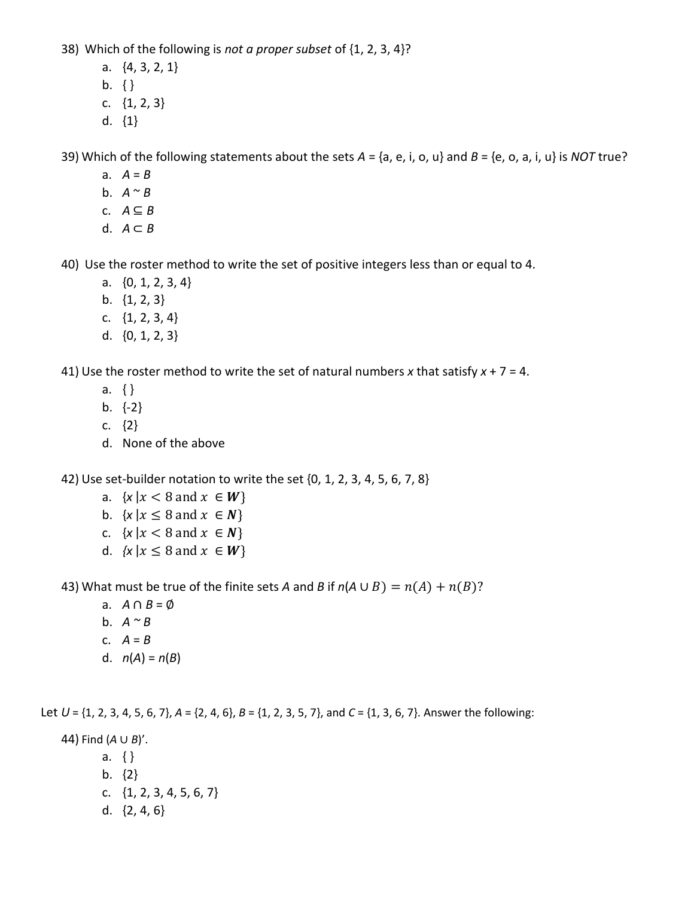38) Which of the following is *not a proper subset* of {1, 2, 3, 4}?

- a. {4, 3, 2, 1}
- b. { }
- c. {1, 2, 3}
- d. {1}

39) Which of the following statements about the sets *A* = {a, e, i, o, u} and *B* = {e, o, a, i, u} is *NOT* true?

- a.  $A = B$
- b.  $A \sim B$
- c.  $A \subseteq B$
- d.  $A \subset B$

40) Use the roster method to write the set of positive integers less than or equal to 4.

- a. {0, 1, 2, 3, 4}
- b. {1, 2, 3}
- c. {1, 2, 3, 4}
- d. {0, 1, 2, 3}

41) Use the roster method to write the set of natural numbers *x* that satisfy *x* + 7 = 4.

- a. { }
- b. {-2}
- c. {2}
- d. None of the above

42) Use set-builder notation to write the set {0, 1, 2, 3, 4, 5, 6, 7, 8}

- a.  $\{x \mid x < 8 \text{ and } x \in W\}$
- b.  $\{x \mid x \leq 8 \text{ and } x \in \mathbb{N}\}\$
- c.  $\{x \mid x < 8 \text{ and } x \in \mathbb{N}\}\$
- d.  $\{x \mid x \leq 8 \text{ and } x \in W\}$

43) What must be true of the finite sets *A* and *B* if  $n(A \cup B) = n(A) + n(B)$ ?

- a. *A* ∩ *B* = ∅
- b. *A ~ B*
- c.  $A = B$
- d.  $n(A) = n(B)$

Let  $U = \{1, 2, 3, 4, 5, 6, 7\}, A = \{2, 4, 6\}, B = \{1, 2, 3, 5, 7\}, \text{ and } C = \{1, 3, 6, 7\}.$  Answer the following:

44) Find (*A* ∪ *B*)'.

- a. { }
- b. {2}
- c. {1, 2, 3, 4, 5, 6, 7}
- d. {2, 4, 6}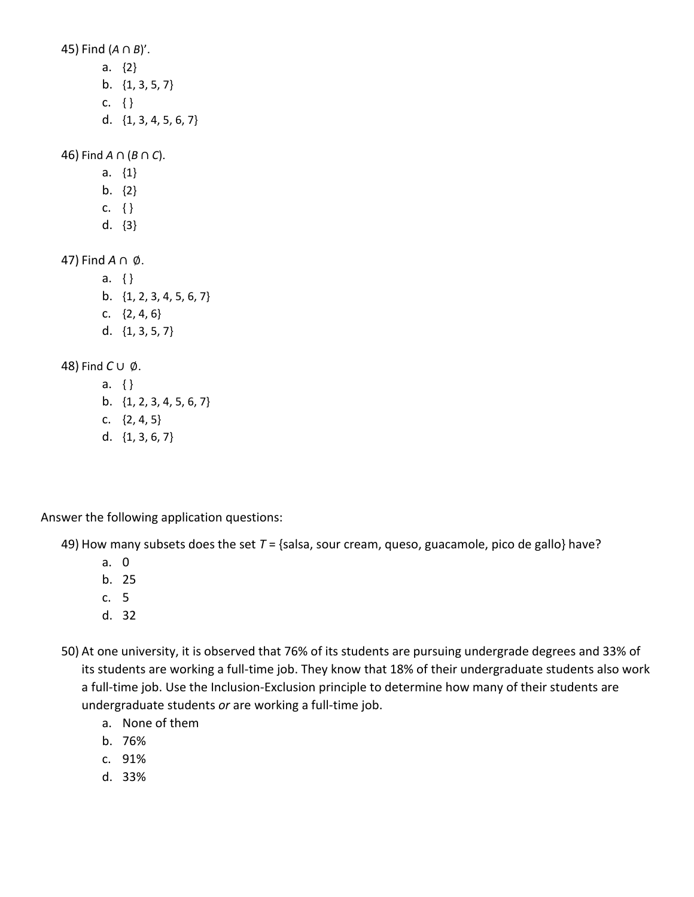45) Find (*A* ∩ *B*)'.

- a. {2}
- b. {1, 3, 5, 7}
- c. { }
- d. {1, 3, 4, 5, 6, 7}

46) Find *A* ∩ (*B* ∩ *C*).

- a. {1}
- b. {2}
- c. { }
- d. {3}

47) Find *A* ∩ ∅.

a. { } b. {1, 2, 3, 4, 5, 6, 7} c.  $\{2, 4, 6\}$ d. {1, 3, 5, 7}

48) Find *C* ∪ ∅.

a. { } b. {1, 2, 3, 4, 5, 6, 7} c.  $\{2, 4, 5\}$ d. {1, 3, 6, 7}

Answer the following application questions:

49) How many subsets does the set *T* = {salsa, sour cream, queso, guacamole, pico de gallo} have?

- a. 0
- b. 25
- c. 5
- d. 32
- 50) At one university, it is observed that 76% of its students are pursuing undergrade degrees and 33% of its students are working a full-time job. They know that 18% of their undergraduate students also work a full-time job. Use the Inclusion-Exclusion principle to determine how many of their students are undergraduate students *or* are working a full-time job.
	- a. None of them
	- b. 76%
	- c. 91%
	- d. 33%